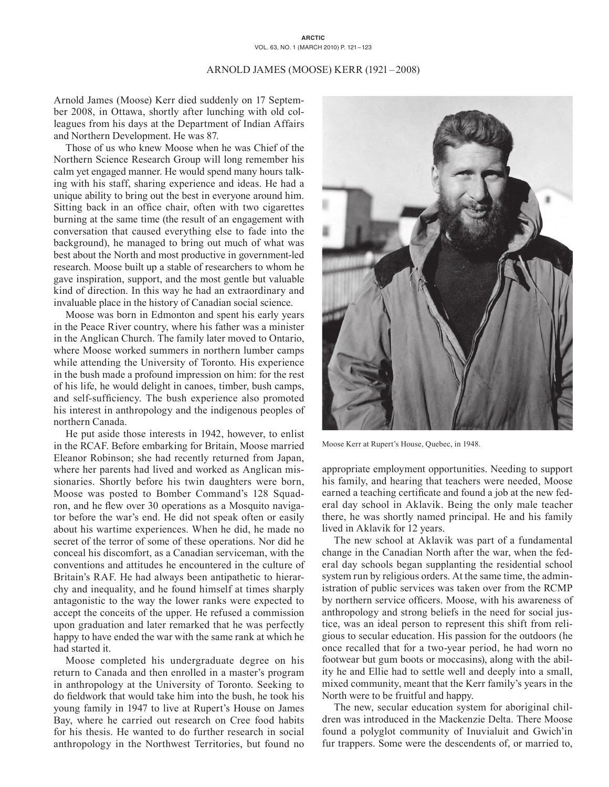## **ARCTIC** VOL. 63, NO. 1 (MARCH 2010) P. 121–123

## Arnold James (Moose) Kerr (1921–2008)

Arnold James (Moose) Kerr died suddenly on 17 September 2008, in Ottawa, shortly after lunching with old colleagues from his days at the Department of Indian Affairs and Northern Development. He was 87.

Those of us who knew Moose when he was Chief of the Northern Science Research Group will long remember his calm yet engaged manner. He would spend many hours talking with his staff, sharing experience and ideas. He had a unique ability to bring out the best in everyone around him. Sitting back in an office chair, often with two cigarettes burning at the same time (the result of an engagement with conversation that caused everything else to fade into the background), he managed to bring out much of what was best about the North and most productive in government-led research. Moose built up a stable of researchers to whom he gave inspiration, support, and the most gentle but valuable kind of direction. In this way he had an extraordinary and invaluable place in the history of Canadian social science.

Moose was born in Edmonton and spent his early years in the Peace River country, where his father was a minister in the Anglican Church. The family later moved to Ontario, where Moose worked summers in northern lumber camps while attending the University of Toronto. His experience in the bush made a profound impression on him: for the rest of his life, he would delight in canoes, timber, bush camps, and self-sufficiency. The bush experience also promoted his interest in anthropology and the indigenous peoples of northern Canada.

He put aside those interests in 1942, however, to enlist in the RCAF. Before embarking for Britain, Moose married Eleanor Robinson; she had recently returned from Japan, where her parents had lived and worked as Anglican missionaries. Shortly before his twin daughters were born, Moose was posted to Bomber Command's 128 Squadron, and he flew over 30 operations as a Mosquito navigator before the war's end. He did not speak often or easily about his wartime experiences. When he did, he made no secret of the terror of some of these operations. Nor did he conceal his discomfort, as a Canadian serviceman, with the conventions and attitudes he encountered in the culture of Britain's RAF. He had always been antipathetic to hierarchy and inequality, and he found himself at times sharply antagonistic to the way the lower ranks were expected to accept the conceits of the upper. He refused a commission upon graduation and later remarked that he was perfectly happy to have ended the war with the same rank at which he had started it.

Moose completed his undergraduate degree on his return to Canada and then enrolled in a master's program in anthropology at the University of Toronto. Seeking to do fieldwork that would take him into the bush, he took his young family in 1947 to live at Rupert's House on James Bay, where he carried out research on Cree food habits for his thesis. He wanted to do further research in social anthropology in the Northwest Territories, but found no



Moose Kerr at Rupert's House, Quebec, in 1948.

appropriate employment opportunities. Needing to support his family, and hearing that teachers were needed, Moose earned a teaching certificate and found a job at the new federal day school in Aklavik. Being the only male teacher there, he was shortly named principal. He and his family lived in Aklavik for 12 years.

The new school at Aklavik was part of a fundamental change in the Canadian North after the war, when the federal day schools began supplanting the residential school system run by religious orders. At the same time, the administration of public services was taken over from the RCMP by northern service officers. Moose, with his awareness of anthropology and strong beliefs in the need for social justice, was an ideal person to represent this shift from religious to secular education. His passion for the outdoors (he once recalled that for a two-year period, he had worn no footwear but gum boots or moccasins), along with the ability he and Ellie had to settle well and deeply into a small, mixed community, meant that the Kerr family's years in the North were to be fruitful and happy.

The new, secular education system for aboriginal children was introduced in the Mackenzie Delta. There Moose found a polyglot community of Inuvialuit and Gwich'in fur trappers. Some were the descendents of, or married to,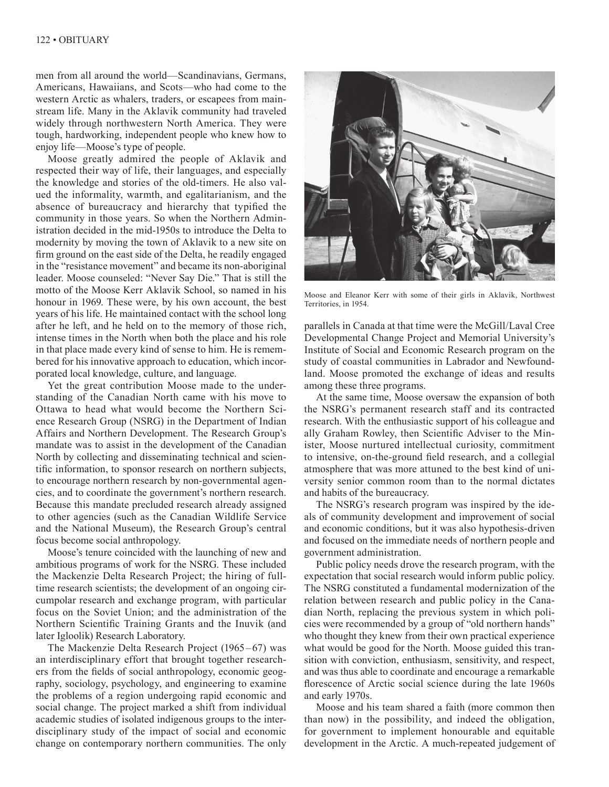men from all around the world—Scandinavians, Germans, Americans, Hawaiians, and Scots—who had come to the western Arctic as whalers, traders, or escapees from mainstream life. Many in the Aklavik community had traveled widely through northwestern North America. They were tough, hardworking, independent people who knew how to enjoy life—Moose's type of people.

Moose greatly admired the people of Aklavik and respected their way of life, their languages, and especially the knowledge and stories of the old-timers. He also valued the informality, warmth, and egalitarianism, and the absence of bureaucracy and hierarchy that typified the community in those years. So when the Northern Administration decided in the mid-1950s to introduce the Delta to modernity by moving the town of Aklavik to a new site on firm ground on the east side of the Delta, he readily engaged in the "resistance movement" and became its non-aboriginal leader. Moose counseled: "Never Say Die." That is still the motto of the Moose Kerr Aklavik School, so named in his honour in 1969. These were, by his own account, the best years of his life. He maintained contact with the school long after he left, and he held on to the memory of those rich, intense times in the North when both the place and his role in that place made every kind of sense to him. He is remembered for his innovative approach to education, which incorporated local knowledge, culture, and language.

Yet the great contribution Moose made to the understanding of the Canadian North came with his move to Ottawa to head what would become the Northern Science Research Group (NSRG) in the Department of Indian Affairs and Northern Development. The Research Group's mandate was to assist in the development of the Canadian North by collecting and disseminating technical and scientific information, to sponsor research on northern subjects, to encourage northern research by non-governmental agencies, and to coordinate the government's northern research. Because this mandate precluded research already assigned to other agencies (such as the Canadian Wildlife Service and the National Museum), the Research Group's central focus become social anthropology.

Moose's tenure coincided with the launching of new and ambitious programs of work for the NSRG. These included the Mackenzie Delta Research Project; the hiring of fulltime research scientists; the development of an ongoing circumpolar research and exchange program, with particular focus on the Soviet Union; and the administration of the Northern Scientific Training Grants and the Inuvik (and later Igloolik) Research Laboratory.

The Mackenzie Delta Research Project (1965–67) was an interdisciplinary effort that brought together researchers from the fields of social anthropology, economic geography, sociology, psychology, and engineering to examine the problems of a region undergoing rapid economic and social change. The project marked a shift from individual academic studies of isolated indigenous groups to the interdisciplinary study of the impact of social and economic change on contemporary northern communities. The only



Moose and Eleanor Kerr with some of their girls in Aklavik, Northwest Territories, in 1954.

parallels in Canada at that time were the McGill/Laval Cree Developmental Change Project and Memorial University's Institute of Social and Economic Research program on the study of coastal communities in Labrador and Newfoundland. Moose promoted the exchange of ideas and results among these three programs.

At the same time, Moose oversaw the expansion of both the NSRG's permanent research staff and its contracted research. With the enthusiastic support of his colleague and ally Graham Rowley, then Scientific Adviser to the Minister, Moose nurtured intellectual curiosity, commitment to intensive, on-the-ground field research, and a collegial atmosphere that was more attuned to the best kind of university senior common room than to the normal dictates and habits of the bureaucracy.

The NSRG's research program was inspired by the ideals of community development and improvement of social and economic conditions, but it was also hypothesis-driven and focused on the immediate needs of northern people and government administration.

Public policy needs drove the research program, with the expectation that social research would inform public policy. The NSRG constituted a fundamental modernization of the relation between research and public policy in the Canadian North, replacing the previous system in which policies were recommended by a group of "old northern hands" who thought they knew from their own practical experience what would be good for the North. Moose guided this transition with conviction, enthusiasm, sensitivity, and respect, and was thus able to coordinate and encourage a remarkable florescence of Arctic social science during the late 1960s and early 1970s.

Moose and his team shared a faith (more common then than now) in the possibility, and indeed the obligation, for government to implement honourable and equitable development in the Arctic. A much-repeated judgement of